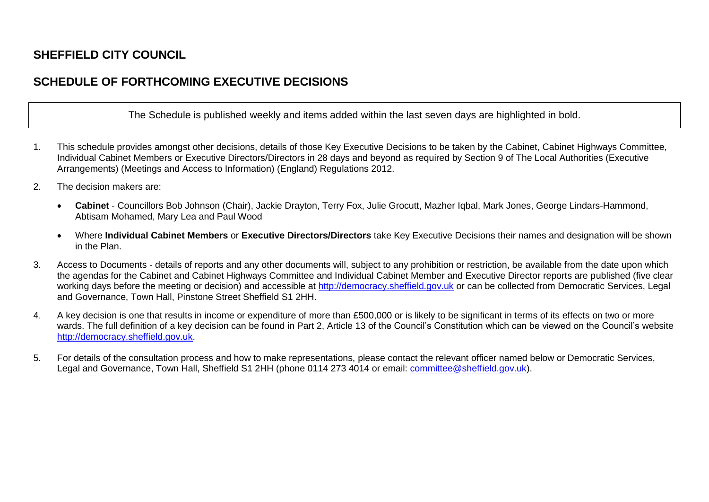## **SHEFFIELD CITY COUNCIL**

## **SCHEDULE OF FORTHCOMING EXECUTIVE DECISIONS**

The Schedule is published weekly and items added within the last seven days are highlighted in bold.

- 1. This schedule provides amongst other decisions, details of those Key Executive Decisions to be taken by the Cabinet, Cabinet Highways Committee, Individual Cabinet Members or Executive Directors/Directors in 28 days and beyond as required by Section 9 of The Local Authorities (Executive Arrangements) (Meetings and Access to Information) (England) Regulations 2012.
- 2. The decision makers are:
	- **Cabinet**  Councillors Bob Johnson (Chair), Jackie Drayton, Terry Fox, Julie Grocutt, Mazher Iqbal, Mark Jones, George Lindars-Hammond, Abtisam Mohamed, Mary Lea and Paul Wood
	- Where **Individual Cabinet Members** or **Executive Directors/Directors** take Key Executive Decisions their names and designation will be shown in the Plan.
- 3. Access to Documents details of reports and any other documents will, subject to any prohibition or restriction, be available from the date upon which the agendas for the Cabinet and Cabinet Highways Committee and Individual Cabinet Member and Executive Director reports are published (five clear working days before the meeting or decision) and accessible at [http://democracy.sheffield.gov.uk](http://democracy.sheffield.gov.uk/) or can be collected from Democratic Services, Legal and Governance, Town Hall, Pinstone Street Sheffield S1 2HH.
- 4. A key decision is one that results in income or expenditure of more than £500,000 or is likely to be significant in terms of its effects on two or more wards. The full definition of a key decision can be found in Part 2, Article 13 of the Council's Constitution which can be viewed on the Council's website [http://democracy.sheffield.gov.uk.](http://democracy.sheffield.gov.uk/)
- 5. For details of the consultation process and how to make representations, please contact the relevant officer named below or Democratic Services, Legal and Governance, Town Hall, Sheffield S1 2HH (phone 0114 273 4014 or email: [committee@sheffield.gov.uk\)](mailto:committee@sheffield.gov.uk).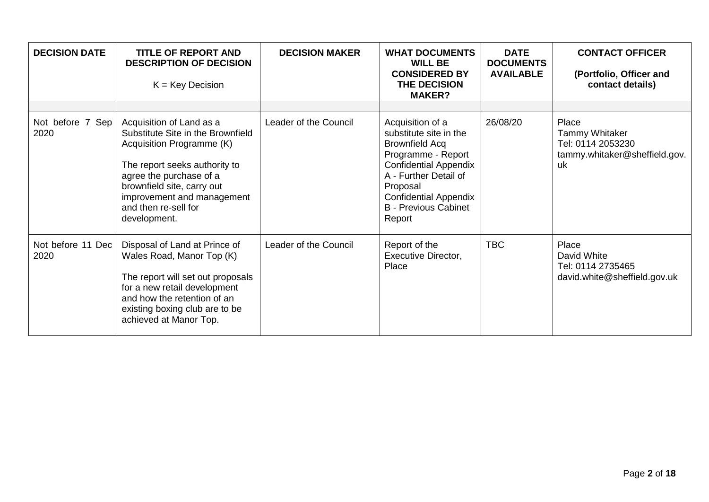| <b>DECISION DATE</b>      | <b>TITLE OF REPORT AND</b><br><b>DESCRIPTION OF DECISION</b><br>$K = Key Decision$                                                                                                                                                                         | <b>DECISION MAKER</b> | <b>WHAT DOCUMENTS</b><br><b>WILL BE</b><br><b>CONSIDERED BY</b><br><b>THE DECISION</b><br><b>MAKER?</b>                                                                                                                                 | <b>DATE</b><br><b>DOCUMENTS</b><br><b>AVAILABLE</b> | <b>CONTACT OFFICER</b><br>(Portfolio, Officer and<br>contact details)                      |
|---------------------------|------------------------------------------------------------------------------------------------------------------------------------------------------------------------------------------------------------------------------------------------------------|-----------------------|-----------------------------------------------------------------------------------------------------------------------------------------------------------------------------------------------------------------------------------------|-----------------------------------------------------|--------------------------------------------------------------------------------------------|
| Not before 7 Sep<br>2020  | Acquisition of Land as a<br>Substitute Site in the Brownfield<br>Acquisition Programme (K)<br>The report seeks authority to<br>agree the purchase of a<br>brownfield site, carry out<br>improvement and management<br>and then re-sell for<br>development. | Leader of the Council | Acquisition of a<br>substitute site in the<br><b>Brownfield Acq</b><br>Programme - Report<br><b>Confidential Appendix</b><br>A - Further Detail of<br>Proposal<br><b>Confidential Appendix</b><br><b>B</b> - Previous Cabinet<br>Report | 26/08/20                                            | Place<br><b>Tammy Whitaker</b><br>Tel: 0114 2053230<br>tammy.whitaker@sheffield.gov.<br>uk |
| Not before 11 Dec<br>2020 | Disposal of Land at Prince of<br>Wales Road, Manor Top (K)<br>The report will set out proposals<br>for a new retail development<br>and how the retention of an<br>existing boxing club are to be<br>achieved at Manor Top.                                 | Leader of the Council | Report of the<br><b>Executive Director,</b><br>Place                                                                                                                                                                                    | <b>TBC</b>                                          | Place<br>David White<br>Tel: 0114 2735465<br>david.white@sheffield.gov.uk                  |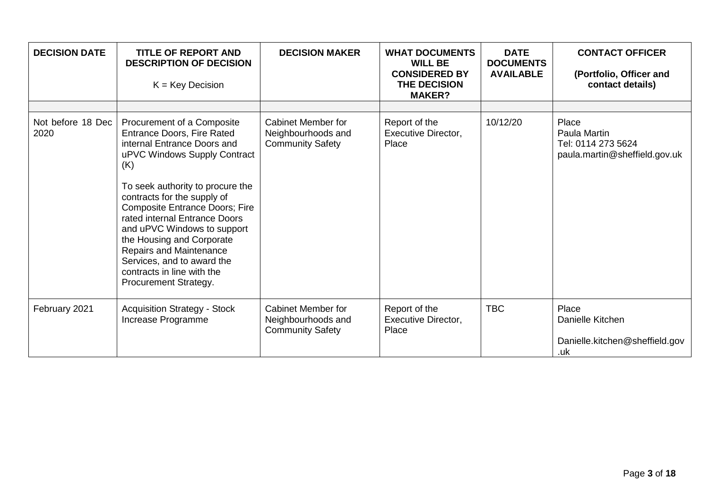| <b>DECISION DATE</b>      | <b>TITLE OF REPORT AND</b><br><b>DESCRIPTION OF DECISION</b><br>$K = Key Decision$                                                                                                                                                                                                                                                                                                                                                                             | <b>DECISION MAKER</b>                                                      | <b>WHAT DOCUMENTS</b><br><b>WILL BE</b><br><b>CONSIDERED BY</b><br>THE DECISION<br><b>MAKER?</b> | <b>DATE</b><br><b>DOCUMENTS</b><br><b>AVAILABLE</b> | <b>CONTACT OFFICER</b><br>(Portfolio, Officer and<br>contact details)        |
|---------------------------|----------------------------------------------------------------------------------------------------------------------------------------------------------------------------------------------------------------------------------------------------------------------------------------------------------------------------------------------------------------------------------------------------------------------------------------------------------------|----------------------------------------------------------------------------|--------------------------------------------------------------------------------------------------|-----------------------------------------------------|------------------------------------------------------------------------------|
|                           |                                                                                                                                                                                                                                                                                                                                                                                                                                                                |                                                                            |                                                                                                  |                                                     |                                                                              |
| Not before 18 Dec<br>2020 | Procurement of a Composite<br><b>Entrance Doors, Fire Rated</b><br>internal Entrance Doors and<br>uPVC Windows Supply Contract<br>(K)<br>To seek authority to procure the<br>contracts for the supply of<br><b>Composite Entrance Doors; Fire</b><br>rated internal Entrance Doors<br>and uPVC Windows to support<br>the Housing and Corporate<br>Repairs and Maintenance<br>Services, and to award the<br>contracts in line with the<br>Procurement Strategy. | Cabinet Member for<br>Neighbourhoods and<br><b>Community Safety</b>        | Report of the<br><b>Executive Director,</b><br>Place                                             | 10/12/20                                            | Place<br>Paula Martin<br>Tel: 0114 273 5624<br>paula.martin@sheffield.gov.uk |
| February 2021             | <b>Acquisition Strategy - Stock</b><br>Increase Programme                                                                                                                                                                                                                                                                                                                                                                                                      | <b>Cabinet Member for</b><br>Neighbourhoods and<br><b>Community Safety</b> | Report of the<br><b>Executive Director,</b><br>Place                                             | <b>TBC</b>                                          | Place<br>Danielle Kitchen<br>Danielle.kitchen@sheffield.gov<br>.uk           |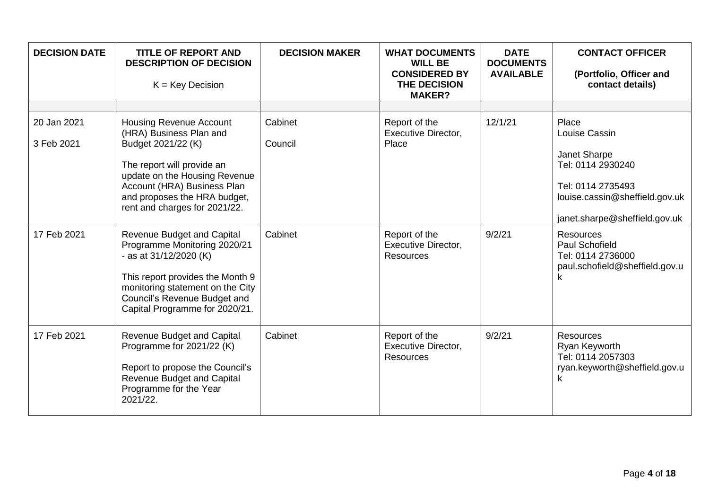| <b>DECISION DATE</b>      | <b>TITLE OF REPORT AND</b><br><b>DESCRIPTION OF DECISION</b><br>$K = Key Decision$                                                                                                                                                             | <b>DECISION MAKER</b> | <b>WHAT DOCUMENTS</b><br><b>WILL BE</b><br><b>CONSIDERED BY</b><br>THE DECISION<br><b>MAKER?</b> | <b>DATE</b><br><b>DOCUMENTS</b><br><b>AVAILABLE</b> | <b>CONTACT OFFICER</b><br>(Portfolio, Officer and<br>contact details)                                                                               |
|---------------------------|------------------------------------------------------------------------------------------------------------------------------------------------------------------------------------------------------------------------------------------------|-----------------------|--------------------------------------------------------------------------------------------------|-----------------------------------------------------|-----------------------------------------------------------------------------------------------------------------------------------------------------|
|                           |                                                                                                                                                                                                                                                |                       |                                                                                                  |                                                     |                                                                                                                                                     |
| 20 Jan 2021<br>3 Feb 2021 | <b>Housing Revenue Account</b><br>(HRA) Business Plan and<br>Budget 2021/22 (K)<br>The report will provide an<br>update on the Housing Revenue<br>Account (HRA) Business Plan<br>and proposes the HRA budget,<br>rent and charges for 2021/22. | Cabinet<br>Council    | Report of the<br><b>Executive Director,</b><br>Place                                             | 12/1/21                                             | Place<br>Louise Cassin<br>Janet Sharpe<br>Tel: 0114 2930240<br>Tel: 0114 2735493<br>louise.cassin@sheffield.gov.uk<br>janet.sharpe@sheffield.gov.uk |
| 17 Feb 2021               | <b>Revenue Budget and Capital</b><br>Programme Monitoring 2020/21<br>- as at $31/12/2020$ (K)<br>This report provides the Month 9<br>monitoring statement on the City<br>Council's Revenue Budget and<br>Capital Programme for 2020/21.        | Cabinet               | Report of the<br><b>Executive Director,</b><br><b>Resources</b>                                  | 9/2/21                                              | <b>Resources</b><br><b>Paul Schofield</b><br>Tel: 0114 2736000<br>paul.schofield@sheffield.gov.u<br>ĸ                                               |
| 17 Feb 2021               | <b>Revenue Budget and Capital</b><br>Programme for 2021/22 (K)<br>Report to propose the Council's<br><b>Revenue Budget and Capital</b><br>Programme for the Year<br>2021/22.                                                                   | Cabinet               | Report of the<br>Executive Director,<br><b>Resources</b>                                         | 9/2/21                                              | Resources<br>Ryan Keyworth<br>Tel: 0114 2057303<br>ryan.keyworth@sheffield.gov.u<br>k                                                               |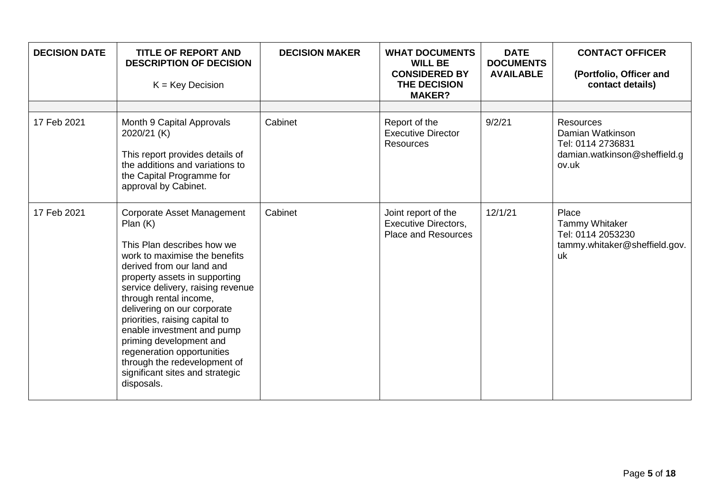| <b>DECISION DATE</b> | <b>TITLE OF REPORT AND</b><br><b>DESCRIPTION OF DECISION</b><br>$K = Key Decision$                                                                                                                                                                                                                                                                                                                                                                                                | <b>DECISION MAKER</b> | <b>WHAT DOCUMENTS</b><br><b>WILL BE</b><br><b>CONSIDERED BY</b><br>THE DECISION<br><b>MAKER?</b> | <b>DATE</b><br><b>DOCUMENTS</b><br><b>AVAILABLE</b> | <b>CONTACT OFFICER</b><br>(Portfolio, Officer and<br>contact details)                              |
|----------------------|-----------------------------------------------------------------------------------------------------------------------------------------------------------------------------------------------------------------------------------------------------------------------------------------------------------------------------------------------------------------------------------------------------------------------------------------------------------------------------------|-----------------------|--------------------------------------------------------------------------------------------------|-----------------------------------------------------|----------------------------------------------------------------------------------------------------|
| 17 Feb 2021          | Month 9 Capital Approvals<br>2020/21 (K)<br>This report provides details of<br>the additions and variations to<br>the Capital Programme for<br>approval by Cabinet.                                                                                                                                                                                                                                                                                                               | Cabinet               | Report of the<br><b>Executive Director</b><br><b>Resources</b>                                   | 9/2/21                                              | <b>Resources</b><br>Damian Watkinson<br>Tel: 0114 2736831<br>damian.watkinson@sheffield.g<br>ov.uk |
| 17 Feb 2021          | <b>Corporate Asset Management</b><br>Plan(K)<br>This Plan describes how we<br>work to maximise the benefits<br>derived from our land and<br>property assets in supporting<br>service delivery, raising revenue<br>through rental income,<br>delivering on our corporate<br>priorities, raising capital to<br>enable investment and pump<br>priming development and<br>regeneration opportunities<br>through the redevelopment of<br>significant sites and strategic<br>disposals. | Cabinet               | Joint report of the<br><b>Executive Directors,</b><br><b>Place and Resources</b>                 | 12/1/21                                             | Place<br><b>Tammy Whitaker</b><br>Tel: 0114 2053230<br>tammy.whitaker@sheffield.gov.<br>uk         |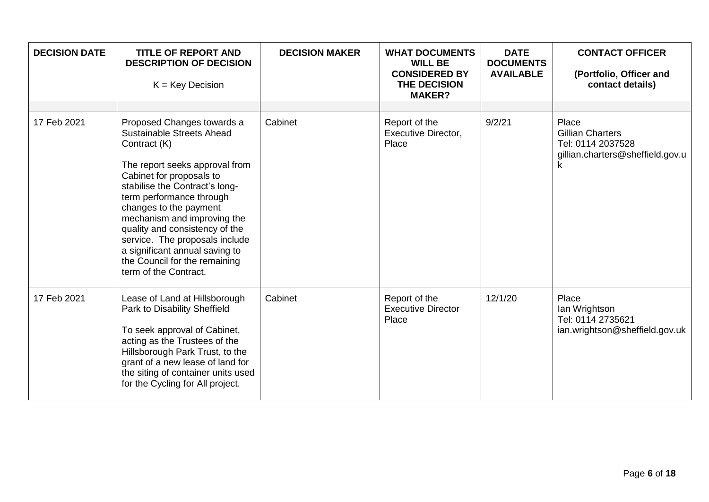| <b>DECISION DATE</b> | <b>TITLE OF REPORT AND</b><br><b>DESCRIPTION OF DECISION</b><br>$K = Key Decision$                                                                                                                                                                                                                                                                                                                                           | <b>DECISION MAKER</b> | <b>WHAT DOCUMENTS</b><br><b>WILL BE</b><br><b>CONSIDERED BY</b><br>THE DECISION<br><b>MAKER?</b> | <b>DATE</b><br><b>DOCUMENTS</b><br><b>AVAILABLE</b> | <b>CONTACT OFFICER</b><br>(Portfolio, Officer and<br>contact details)                          |
|----------------------|------------------------------------------------------------------------------------------------------------------------------------------------------------------------------------------------------------------------------------------------------------------------------------------------------------------------------------------------------------------------------------------------------------------------------|-----------------------|--------------------------------------------------------------------------------------------------|-----------------------------------------------------|------------------------------------------------------------------------------------------------|
| 17 Feb 2021          | Proposed Changes towards a<br>Sustainable Streets Ahead<br>Contract (K)<br>The report seeks approval from<br>Cabinet for proposals to<br>stabilise the Contract's long-<br>term performance through<br>changes to the payment<br>mechanism and improving the<br>quality and consistency of the<br>service. The proposals include<br>a significant annual saving to<br>the Council for the remaining<br>term of the Contract. | Cabinet               | Report of the<br><b>Executive Director,</b><br>Place                                             | 9/2/21                                              | Place<br><b>Gillian Charters</b><br>Tel: 0114 2037528<br>gillian.charters@sheffield.gov.u<br>k |
| 17 Feb 2021          | Lease of Land at Hillsborough<br>Park to Disability Sheffield<br>To seek approval of Cabinet,<br>acting as the Trustees of the<br>Hillsborough Park Trust, to the<br>grant of a new lease of land for<br>the siting of container units used<br>for the Cycling for All project.                                                                                                                                              | Cabinet               | Report of the<br><b>Executive Director</b><br>Place                                              | 12/1/20                                             | Place<br>Ian Wrightson<br>Tel: 0114 2735621<br>ian.wrightson@sheffield.gov.uk                  |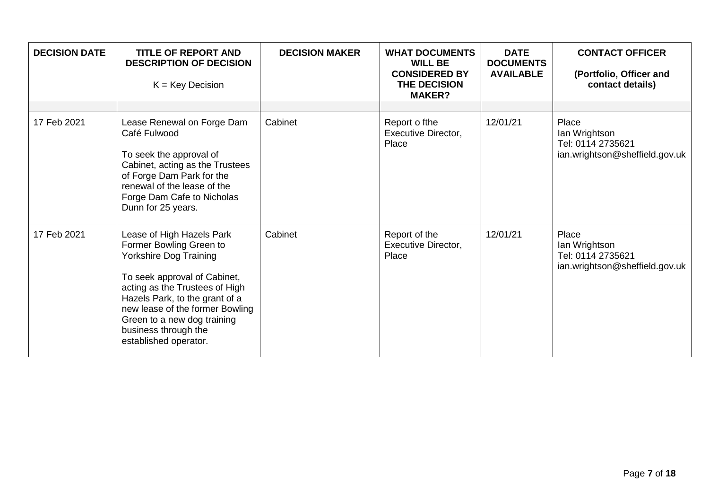| <b>DECISION DATE</b> | <b>TITLE OF REPORT AND</b><br><b>DESCRIPTION OF DECISION</b><br>$K = Key Decision$                                                                                                                                                                                                                           | <b>DECISION MAKER</b> | <b>WHAT DOCUMENTS</b><br><b>WILL BE</b><br><b>CONSIDERED BY</b><br>THE DECISION<br><b>MAKER?</b> | <b>DATE</b><br><b>DOCUMENTS</b><br><b>AVAILABLE</b> | <b>CONTACT OFFICER</b><br>(Portfolio, Officer and<br>contact details)         |
|----------------------|--------------------------------------------------------------------------------------------------------------------------------------------------------------------------------------------------------------------------------------------------------------------------------------------------------------|-----------------------|--------------------------------------------------------------------------------------------------|-----------------------------------------------------|-------------------------------------------------------------------------------|
| 17 Feb 2021          | Lease Renewal on Forge Dam<br>Café Fulwood<br>To seek the approval of<br>Cabinet, acting as the Trustees<br>of Forge Dam Park for the<br>renewal of the lease of the<br>Forge Dam Cafe to Nicholas<br>Dunn for 25 years.                                                                                     | Cabinet               | Report o fthe<br><b>Executive Director,</b><br>Place                                             | 12/01/21                                            | Place<br>Ian Wrightson<br>Tel: 0114 2735621<br>ian.wrightson@sheffield.gov.uk |
| 17 Feb 2021          | Lease of High Hazels Park<br>Former Bowling Green to<br><b>Yorkshire Dog Training</b><br>To seek approval of Cabinet,<br>acting as the Trustees of High<br>Hazels Park, to the grant of a<br>new lease of the former Bowling<br>Green to a new dog training<br>business through the<br>established operator. | Cabinet               | Report of the<br>Executive Director,<br>Place                                                    | 12/01/21                                            | Place<br>lan Wrightson<br>Tel: 0114 2735621<br>ian.wrightson@sheffield.gov.uk |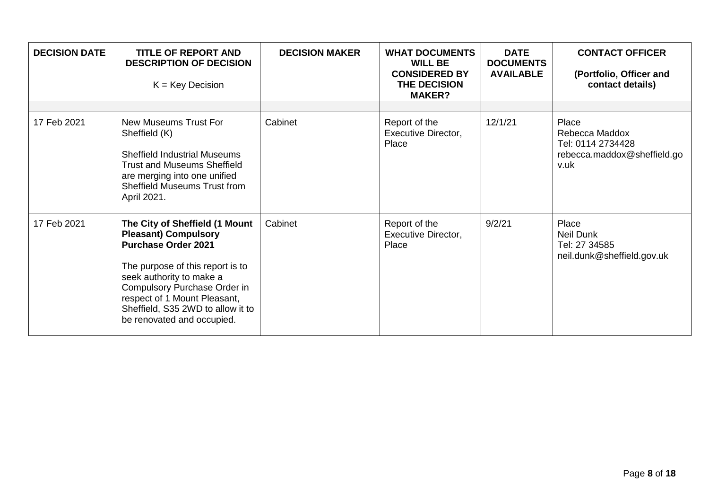| <b>DECISION DATE</b> | <b>TITLE OF REPORT AND</b><br><b>DESCRIPTION OF DECISION</b><br>$K = Key Decision$                                                                                                                                                                                                             | <b>DECISION MAKER</b> | <b>WHAT DOCUMENTS</b><br><b>WILL BE</b><br><b>CONSIDERED BY</b><br><b>THE DECISION</b><br><b>MAKER?</b> | <b>DATE</b><br><b>DOCUMENTS</b><br><b>AVAILABLE</b> | <b>CONTACT OFFICER</b><br>(Portfolio, Officer and<br>contact details)               |
|----------------------|------------------------------------------------------------------------------------------------------------------------------------------------------------------------------------------------------------------------------------------------------------------------------------------------|-----------------------|---------------------------------------------------------------------------------------------------------|-----------------------------------------------------|-------------------------------------------------------------------------------------|
|                      |                                                                                                                                                                                                                                                                                                |                       |                                                                                                         |                                                     |                                                                                     |
| 17 Feb 2021          | <b>New Museums Trust For</b><br>Sheffield (K)<br><b>Sheffield Industrial Museums</b><br><b>Trust and Museums Sheffield</b><br>are merging into one unified<br><b>Sheffield Museums Trust from</b><br>April 2021.                                                                               | Cabinet               | Report of the<br><b>Executive Director,</b><br>Place                                                    | 12/1/21                                             | Place<br>Rebecca Maddox<br>Tel: 0114 2734428<br>rebecca.maddox@sheffield.go<br>v.uk |
| 17 Feb 2021          | The City of Sheffield (1 Mount<br><b>Pleasant) Compulsory</b><br><b>Purchase Order 2021</b><br>The purpose of this report is to<br>seek authority to make a<br>Compulsory Purchase Order in<br>respect of 1 Mount Pleasant,<br>Sheffield, S35 2WD to allow it to<br>be renovated and occupied. | Cabinet               | Report of the<br>Executive Director,<br>Place                                                           | 9/2/21                                              | Place<br>Neil Dunk<br>Tel: 27 34585<br>neil.dunk@sheffield.gov.uk                   |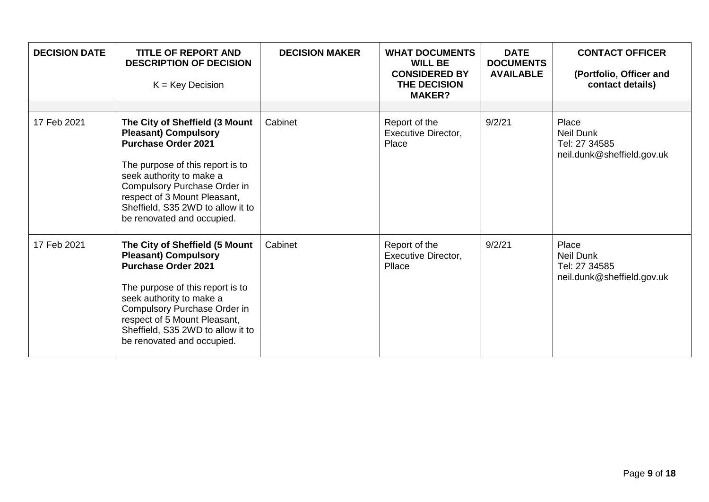| <b>DECISION DATE</b> | <b>TITLE OF REPORT AND</b><br><b>DESCRIPTION OF DECISION</b><br>$K = Key Decision$                                                                                                                                                                                                             | <b>DECISION MAKER</b> | <b>WHAT DOCUMENTS</b><br><b>WILL BE</b><br><b>CONSIDERED BY</b><br>THE DECISION<br><b>MAKER?</b> | <b>DATE</b><br><b>DOCUMENTS</b><br><b>AVAILABLE</b> | <b>CONTACT OFFICER</b><br>(Portfolio, Officer and<br>contact details)    |
|----------------------|------------------------------------------------------------------------------------------------------------------------------------------------------------------------------------------------------------------------------------------------------------------------------------------------|-----------------------|--------------------------------------------------------------------------------------------------|-----------------------------------------------------|--------------------------------------------------------------------------|
| 17 Feb 2021          | The City of Sheffield (3 Mount<br><b>Pleasant) Compulsory</b><br><b>Purchase Order 2021</b><br>The purpose of this report is to<br>seek authority to make a<br>Compulsory Purchase Order in<br>respect of 3 Mount Pleasant,<br>Sheffield, S35 2WD to allow it to<br>be renovated and occupied. | Cabinet               | Report of the<br><b>Executive Director,</b><br>Place                                             | 9/2/21                                              | Place<br><b>Neil Dunk</b><br>Tel: 27 34585<br>neil.dunk@sheffield.gov.uk |
| 17 Feb 2021          | The City of Sheffield (5 Mount<br><b>Pleasant) Compulsory</b><br><b>Purchase Order 2021</b><br>The purpose of this report is to<br>seek authority to make a<br>Compulsory Purchase Order in<br>respect of 5 Mount Pleasant,<br>Sheffield, S35 2WD to allow it to<br>be renovated and occupied. | Cabinet               | Report of the<br>Executive Director,<br>Pllace                                                   | 9/2/21                                              | Place<br><b>Neil Dunk</b><br>Tel: 27 34585<br>neil.dunk@sheffield.gov.uk |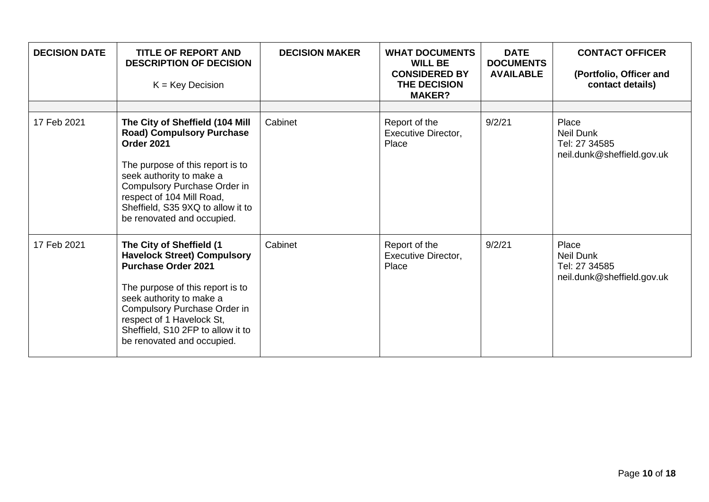| <b>DECISION DATE</b> | <b>TITLE OF REPORT AND</b><br><b>DESCRIPTION OF DECISION</b><br>$K = Key Decision$                                                                                                                                                                                                           | <b>DECISION MAKER</b> | <b>WHAT DOCUMENTS</b><br><b>WILL BE</b><br><b>CONSIDERED BY</b><br>THE DECISION<br><b>MAKER?</b> | <b>DATE</b><br><b>DOCUMENTS</b><br><b>AVAILABLE</b> | <b>CONTACT OFFICER</b><br>(Portfolio, Officer and<br>contact details)    |
|----------------------|----------------------------------------------------------------------------------------------------------------------------------------------------------------------------------------------------------------------------------------------------------------------------------------------|-----------------------|--------------------------------------------------------------------------------------------------|-----------------------------------------------------|--------------------------------------------------------------------------|
| 17 Feb 2021          | The City of Sheffield (104 Mill<br><b>Road) Compulsory Purchase</b><br>Order 2021<br>The purpose of this report is to<br>seek authority to make a<br>Compulsory Purchase Order in<br>respect of 104 Mill Road,<br>Sheffield, S35 9XQ to allow it to<br>be renovated and occupied.            | Cabinet               | Report of the<br>Executive Director,<br>Place                                                    | 9/2/21                                              | Place<br><b>Neil Dunk</b><br>Tel: 27 34585<br>neil.dunk@sheffield.gov.uk |
| 17 Feb 2021          | The City of Sheffield (1<br><b>Havelock Street) Compulsory</b><br><b>Purchase Order 2021</b><br>The purpose of this report is to<br>seek authority to make a<br>Compulsory Purchase Order in<br>respect of 1 Havelock St,<br>Sheffield, S10 2FP to allow it to<br>be renovated and occupied. | Cabinet               | Report of the<br>Executive Director,<br>Place                                                    | 9/2/21                                              | Place<br><b>Neil Dunk</b><br>Tel: 27 34585<br>neil.dunk@sheffield.gov.uk |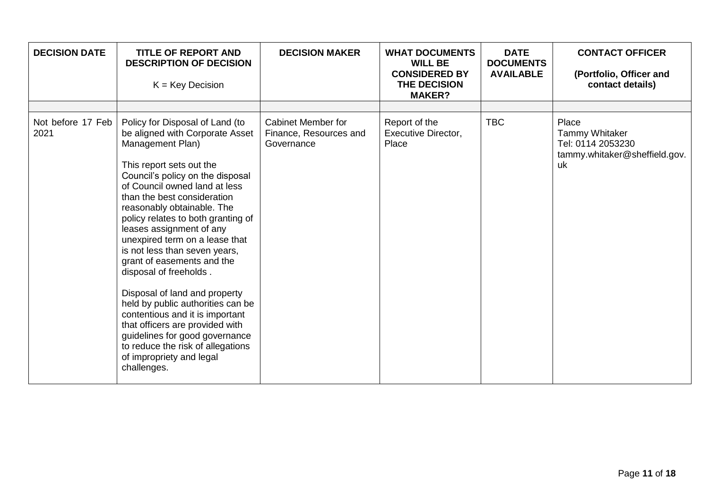| <b>DECISION DATE</b>      | <b>TITLE OF REPORT AND</b><br><b>DESCRIPTION OF DECISION</b><br>$K = Key Decision$                                                                                                                                                                                                                                                                                                                                                                                                                                                                                                                                                                                                                              | <b>DECISION MAKER</b>                                             | <b>WHAT DOCUMENTS</b><br><b>WILL BE</b><br><b>CONSIDERED BY</b><br>THE DECISION<br><b>MAKER?</b> | <b>DATE</b><br><b>DOCUMENTS</b><br><b>AVAILABLE</b> | <b>CONTACT OFFICER</b><br>(Portfolio, Officer and<br>contact details)                      |
|---------------------------|-----------------------------------------------------------------------------------------------------------------------------------------------------------------------------------------------------------------------------------------------------------------------------------------------------------------------------------------------------------------------------------------------------------------------------------------------------------------------------------------------------------------------------------------------------------------------------------------------------------------------------------------------------------------------------------------------------------------|-------------------------------------------------------------------|--------------------------------------------------------------------------------------------------|-----------------------------------------------------|--------------------------------------------------------------------------------------------|
| Not before 17 Feb<br>2021 | Policy for Disposal of Land (to<br>be aligned with Corporate Asset<br>Management Plan)<br>This report sets out the<br>Council's policy on the disposal<br>of Council owned land at less<br>than the best consideration<br>reasonably obtainable. The<br>policy relates to both granting of<br>leases assignment of any<br>unexpired term on a lease that<br>is not less than seven years,<br>grant of easements and the<br>disposal of freeholds.<br>Disposal of land and property<br>held by public authorities can be<br>contentious and it is important<br>that officers are provided with<br>guidelines for good governance<br>to reduce the risk of allegations<br>of impropriety and legal<br>challenges. | <b>Cabinet Member for</b><br>Finance, Resources and<br>Governance | Report of the<br><b>Executive Director,</b><br>Place                                             | <b>TBC</b>                                          | Place<br><b>Tammy Whitaker</b><br>Tel: 0114 2053230<br>tammy.whitaker@sheffield.gov.<br>uk |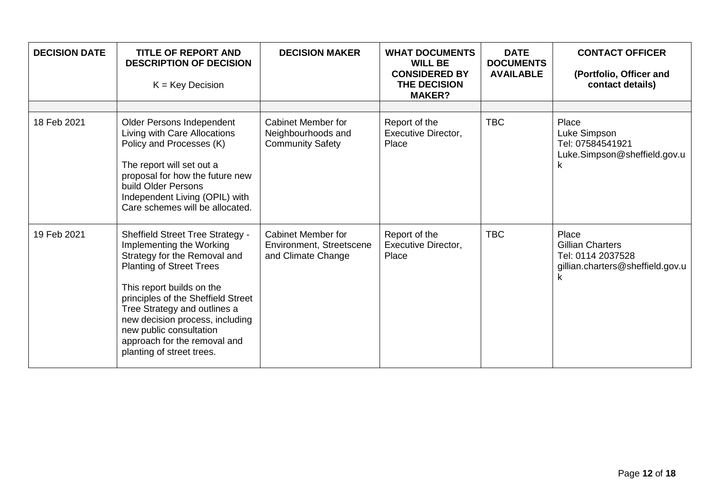| <b>DECISION DATE</b> | <b>TITLE OF REPORT AND</b><br><b>DESCRIPTION OF DECISION</b><br>$K = Key Decision$                                                                                                                                                                                                                                                                                   | <b>DECISION MAKER</b>                                                       | <b>WHAT DOCUMENTS</b><br><b>WILL BE</b><br><b>CONSIDERED BY</b><br>THE DECISION<br><b>MAKER?</b> | <b>DATE</b><br><b>DOCUMENTS</b><br><b>AVAILABLE</b> | <b>CONTACT OFFICER</b><br>(Portfolio, Officer and<br>contact details)                          |
|----------------------|----------------------------------------------------------------------------------------------------------------------------------------------------------------------------------------------------------------------------------------------------------------------------------------------------------------------------------------------------------------------|-----------------------------------------------------------------------------|--------------------------------------------------------------------------------------------------|-----------------------------------------------------|------------------------------------------------------------------------------------------------|
| 18 Feb 2021          | Older Persons Independent<br>Living with Care Allocations<br>Policy and Processes (K)<br>The report will set out a<br>proposal for how the future new<br>build Older Persons<br>Independent Living (OPIL) with<br>Care schemes will be allocated.                                                                                                                    | <b>Cabinet Member for</b><br>Neighbourhoods and<br><b>Community Safety</b>  | Report of the<br>Executive Director,<br>Place                                                    | <b>TBC</b>                                          | Place<br>Luke Simpson<br>Tel: 07584541921<br>Luke.Simpson@sheffield.gov.u<br>κ                 |
| 19 Feb 2021          | <b>Sheffield Street Tree Strategy -</b><br>Implementing the Working<br>Strategy for the Removal and<br><b>Planting of Street Trees</b><br>This report builds on the<br>principles of the Sheffield Street<br>Tree Strategy and outlines a<br>new decision process, including<br>new public consultation<br>approach for the removal and<br>planting of street trees. | <b>Cabinet Member for</b><br>Environment, Streetscene<br>and Climate Change | Report of the<br><b>Executive Director,</b><br>Place                                             | <b>TBC</b>                                          | Place<br><b>Gillian Charters</b><br>Tel: 0114 2037528<br>gillian.charters@sheffield.gov.u<br>k |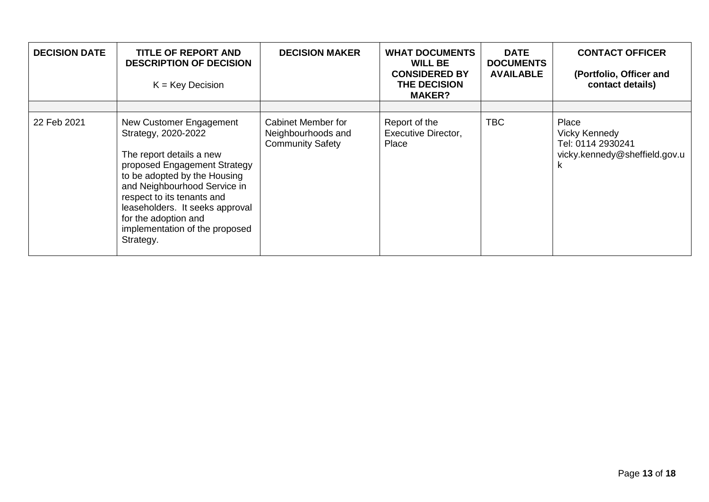| <b>DECISION DATE</b> | TITLE OF REPORT AND<br><b>DESCRIPTION OF DECISION</b><br>$K = Key Decision$                                                                                                                                                                                                                                        | <b>DECISION MAKER</b>                                                      | <b>WHAT DOCUMENTS</b><br><b>WILL BE</b><br><b>CONSIDERED BY</b><br>THE DECISION<br><b>MAKER?</b> | <b>DATE</b><br><b>DOCUMENTS</b><br><b>AVAILABLE</b> | <b>CONTACT OFFICER</b><br>(Portfolio, Officer and<br>contact details)                    |
|----------------------|--------------------------------------------------------------------------------------------------------------------------------------------------------------------------------------------------------------------------------------------------------------------------------------------------------------------|----------------------------------------------------------------------------|--------------------------------------------------------------------------------------------------|-----------------------------------------------------|------------------------------------------------------------------------------------------|
| 22 Feb 2021          | New Customer Engagement<br>Strategy, 2020-2022<br>The report details a new<br>proposed Engagement Strategy<br>to be adopted by the Housing<br>and Neighbourhood Service in<br>respect to its tenants and<br>leaseholders. It seeks approval<br>for the adoption and<br>implementation of the proposed<br>Strategy. | <b>Cabinet Member for</b><br>Neighbourhoods and<br><b>Community Safety</b> | Report of the<br><b>Executive Director,</b><br>Place                                             | <b>TBC</b>                                          | Place<br><b>Vicky Kennedy</b><br>Tel: 0114 2930241<br>vicky.kennedy@sheffield.gov.u<br>K |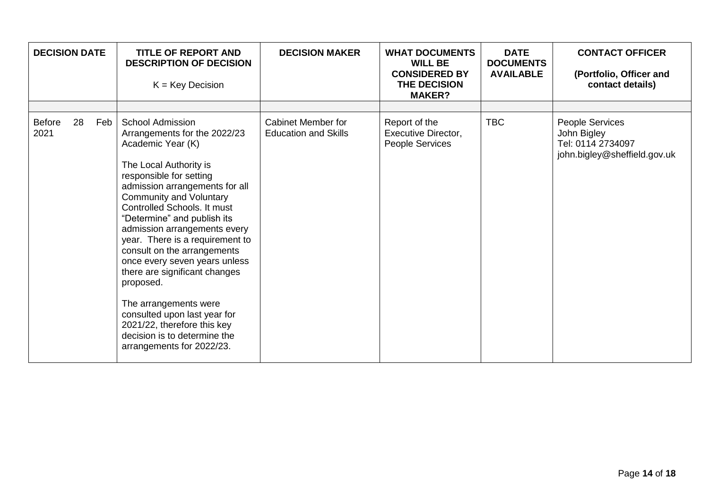| <b>DECISION DATE</b>  |    |     | <b>TITLE OF REPORT AND</b><br><b>DESCRIPTION OF DECISION</b><br>$K = Key Decision$                                                                                                                                                                                                                                                                                                                                                                                                                                                                                                                        | <b>DECISION MAKER</b>                             | <b>WHAT DOCUMENTS</b><br><b>WILL BE</b><br><b>CONSIDERED BY</b><br>THE DECISION<br><b>MAKER?</b> | <b>DATE</b><br><b>DOCUMENTS</b><br><b>AVAILABLE</b> | <b>CONTACT OFFICER</b><br>(Portfolio, Officer and<br>contact details)               |
|-----------------------|----|-----|-----------------------------------------------------------------------------------------------------------------------------------------------------------------------------------------------------------------------------------------------------------------------------------------------------------------------------------------------------------------------------------------------------------------------------------------------------------------------------------------------------------------------------------------------------------------------------------------------------------|---------------------------------------------------|--------------------------------------------------------------------------------------------------|-----------------------------------------------------|-------------------------------------------------------------------------------------|
|                       |    |     |                                                                                                                                                                                                                                                                                                                                                                                                                                                                                                                                                                                                           |                                                   |                                                                                                  |                                                     |                                                                                     |
| <b>Before</b><br>2021 | 28 | Feb | <b>School Admission</b><br>Arrangements for the 2022/23<br>Academic Year (K)<br>The Local Authority is<br>responsible for setting<br>admission arrangements for all<br><b>Community and Voluntary</b><br>Controlled Schools. It must<br>"Determine" and publish its<br>admission arrangements every<br>year. There is a requirement to<br>consult on the arrangements<br>once every seven years unless<br>there are significant changes<br>proposed.<br>The arrangements were<br>consulted upon last year for<br>2021/22, therefore this key<br>decision is to determine the<br>arrangements for 2022/23. | Cabinet Member for<br><b>Education and Skills</b> | Report of the<br><b>Executive Director,</b><br>People Services                                   | <b>TBC</b>                                          | People Services<br>John Bigley<br>Tel: 0114 2734097<br>john.bigley@sheffield.gov.uk |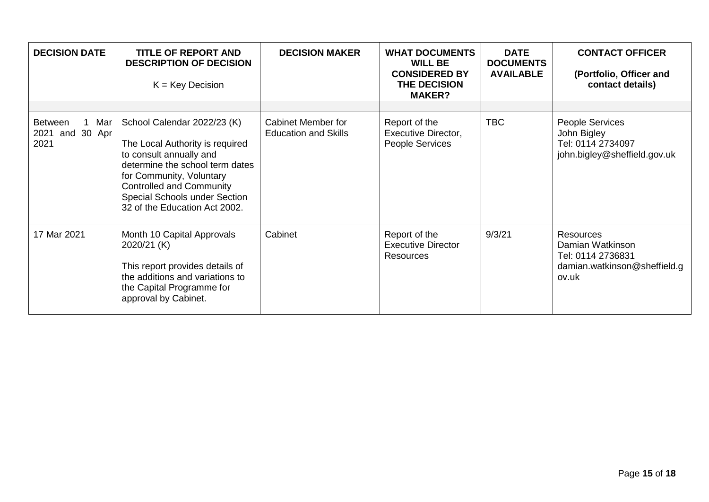| <b>DECISION DATE</b>                                | TITLE OF REPORT AND<br><b>DESCRIPTION OF DECISION</b><br>$K = Key Decision$                                                                                                                                                                                   | <b>DECISION MAKER</b>                                    | <b>WHAT DOCUMENTS</b><br><b>WILL BE</b><br><b>CONSIDERED BY</b><br>THE DECISION<br><b>MAKER?</b> | <b>DATE</b><br><b>DOCUMENTS</b><br><b>AVAILABLE</b> | <b>CONTACT OFFICER</b><br>(Portfolio, Officer and<br>contact details)                       |
|-----------------------------------------------------|---------------------------------------------------------------------------------------------------------------------------------------------------------------------------------------------------------------------------------------------------------------|----------------------------------------------------------|--------------------------------------------------------------------------------------------------|-----------------------------------------------------|---------------------------------------------------------------------------------------------|
| Mar<br><b>Between</b><br>and 30 Apr<br>2021<br>2021 | School Calendar 2022/23 (K)<br>The Local Authority is required<br>to consult annually and<br>determine the school term dates<br>for Community, Voluntary<br><b>Controlled and Community</b><br>Special Schools under Section<br>32 of the Education Act 2002. | <b>Cabinet Member for</b><br><b>Education and Skills</b> | Report of the<br>Executive Director,<br>People Services                                          | <b>TBC</b>                                          | People Services<br>John Bigley<br>Tel: 0114 2734097<br>john.bigley@sheffield.gov.uk         |
| 17 Mar 2021                                         | Month 10 Capital Approvals<br>2020/21 (K)<br>This report provides details of<br>the additions and variations to<br>the Capital Programme for<br>approval by Cabinet.                                                                                          | Cabinet                                                  | Report of the<br><b>Executive Director</b><br><b>Resources</b>                                   | 9/3/21                                              | Resources<br>Damian Watkinson<br>Tel: 0114 2736831<br>damian.watkinson@sheffield.g<br>ov.uk |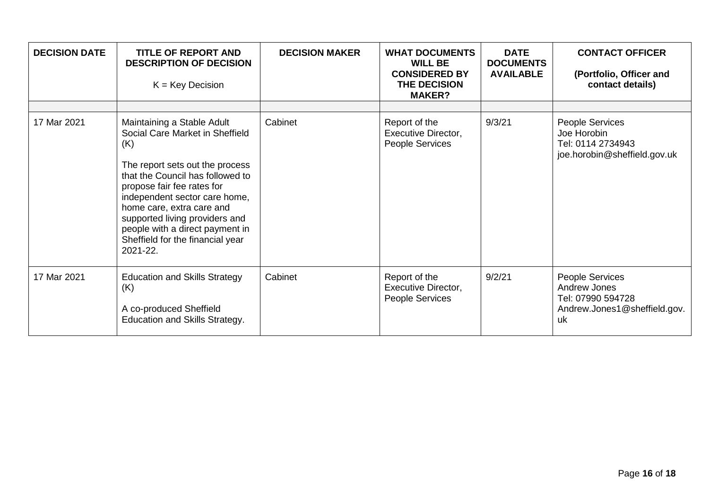| <b>DECISION DATE</b> | <b>TITLE OF REPORT AND</b><br><b>DESCRIPTION OF DECISION</b><br>$K = Key Decision$                                                                                                                                                                                                                                             | <b>DECISION MAKER</b> | <b>WHAT DOCUMENTS</b><br><b>WILL BE</b><br><b>CONSIDERED BY</b><br>THE DECISION<br><b>MAKER?</b> | <b>DATE</b><br><b>DOCUMENTS</b><br><b>AVAILABLE</b> | <b>CONTACT OFFICER</b><br>(Portfolio, Officer and<br>contact details)                      |
|----------------------|--------------------------------------------------------------------------------------------------------------------------------------------------------------------------------------------------------------------------------------------------------------------------------------------------------------------------------|-----------------------|--------------------------------------------------------------------------------------------------|-----------------------------------------------------|--------------------------------------------------------------------------------------------|
| 17 Mar 2021          | Maintaining a Stable Adult                                                                                                                                                                                                                                                                                                     | Cabinet               | Report of the                                                                                    | 9/3/21                                              | <b>People Services</b>                                                                     |
|                      | Social Care Market in Sheffield<br>(K)<br>The report sets out the process<br>that the Council has followed to<br>propose fair fee rates for<br>independent sector care home,<br>home care, extra care and<br>supported living providers and<br>people with a direct payment in<br>Sheffield for the financial year<br>2021-22. |                       | Executive Director,<br>People Services                                                           |                                                     | Joe Horobin<br>Tel: 0114 2734943<br>joe.horobin@sheffield.gov.uk                           |
| 17 Mar 2021          | <b>Education and Skills Strategy</b><br>(K)<br>A co-produced Sheffield<br>Education and Skills Strategy.                                                                                                                                                                                                                       | Cabinet               | Report of the<br>Executive Director,<br>People Services                                          | 9/2/21                                              | People Services<br>Andrew Jones<br>Tel: 07990 594728<br>Andrew.Jones1@sheffield.gov.<br>uk |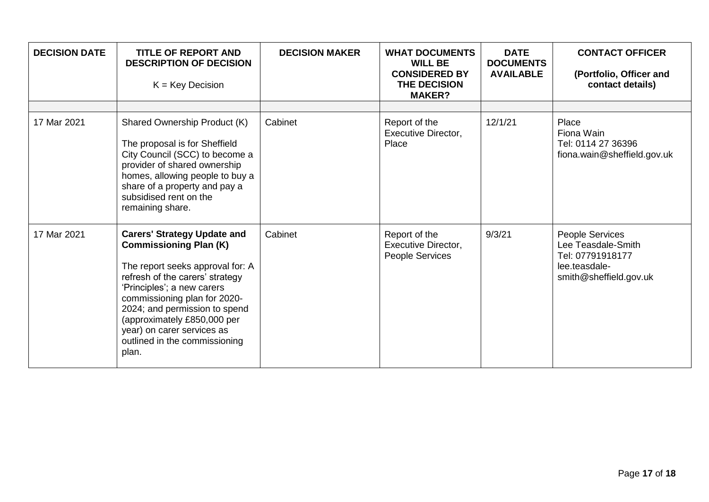| <b>DECISION DATE</b> | <b>TITLE OF REPORT AND</b><br><b>DESCRIPTION OF DECISION</b><br>$K = Key Decision$                                                                                                                                                                                                                                                               | <b>DECISION MAKER</b> | <b>WHAT DOCUMENTS</b><br><b>WILL BE</b><br><b>CONSIDERED BY</b><br>THE DECISION<br><b>MAKER?</b> | <b>DATE</b><br><b>DOCUMENTS</b><br><b>AVAILABLE</b> | <b>CONTACT OFFICER</b><br>(Portfolio, Officer and<br>contact details)                                |
|----------------------|--------------------------------------------------------------------------------------------------------------------------------------------------------------------------------------------------------------------------------------------------------------------------------------------------------------------------------------------------|-----------------------|--------------------------------------------------------------------------------------------------|-----------------------------------------------------|------------------------------------------------------------------------------------------------------|
|                      |                                                                                                                                                                                                                                                                                                                                                  |                       |                                                                                                  |                                                     |                                                                                                      |
| 17 Mar 2021          | Shared Ownership Product (K)<br>The proposal is for Sheffield<br>City Council (SCC) to become a<br>provider of shared ownership<br>homes, allowing people to buy a<br>share of a property and pay a<br>subsidised rent on the<br>remaining share.                                                                                                | Cabinet               | Report of the<br>Executive Director,<br>Place                                                    | 12/1/21                                             | Place<br>Fiona Wain<br>Tel: 0114 27 36396<br>fiona.wain@sheffield.gov.uk                             |
| 17 Mar 2021          | <b>Carers' Strategy Update and</b><br><b>Commissioning Plan (K)</b><br>The report seeks approval for: A<br>refresh of the carers' strategy<br>'Principles'; a new carers<br>commissioning plan for 2020-<br>2024; and permission to spend<br>(approximately £850,000 per<br>year) on carer services as<br>outlined in the commissioning<br>plan. | Cabinet               | Report of the<br><b>Executive Director,</b><br>People Services                                   | 9/3/21                                              | People Services<br>Lee Teasdale-Smith<br>Tel: 07791918177<br>lee.teasdale-<br>smith@sheffield.gov.uk |